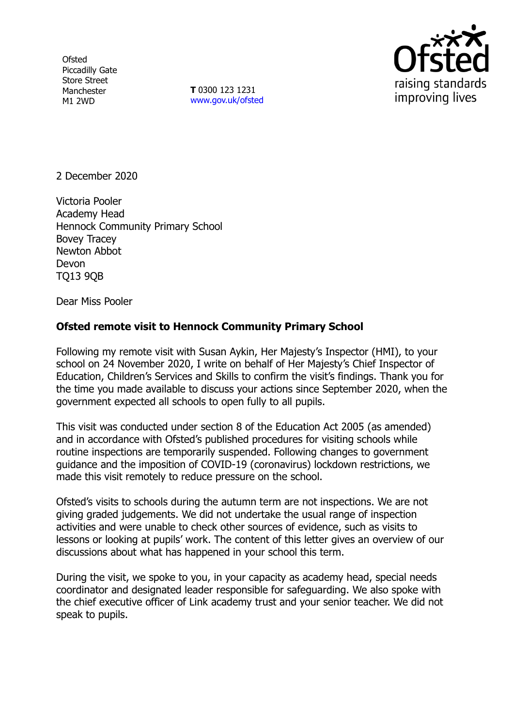**Ofsted** Piccadilly Gate Store Street Manchester M1 2WD

**T** 0300 123 1231 [www.gov.uk/ofsted](http://www.gov.uk/ofsted)



2 December 2020

Victoria Pooler Academy Head Hennock Community Primary School Bovey Tracey Newton Abbot Devon TQ13 9QB

Dear Miss Pooler

## **Ofsted remote visit to Hennock Community Primary School**

Following my remote visit with Susan Aykin, Her Majesty's Inspector (HMI), to your school on 24 November 2020, I write on behalf of Her Majesty's Chief Inspector of Education, Children's Services and Skills to confirm the visit's findings. Thank you for the time you made available to discuss your actions since September 2020, when the government expected all schools to open fully to all pupils.

This visit was conducted under section 8 of the Education Act 2005 (as amended) and in accordance with Ofsted's published procedures for visiting schools while routine inspections are temporarily suspended. Following changes to government guidance and the imposition of COVID-19 (coronavirus) lockdown restrictions, we made this visit remotely to reduce pressure on the school.

Ofsted's visits to schools during the autumn term are not inspections. We are not giving graded judgements. We did not undertake the usual range of inspection activities and were unable to check other sources of evidence, such as visits to lessons or looking at pupils' work. The content of this letter gives an overview of our discussions about what has happened in your school this term.

During the visit, we spoke to you, in your capacity as academy head, special needs coordinator and designated leader responsible for safeguarding. We also spoke with the chief executive officer of Link academy trust and your senior teacher. We did not speak to pupils.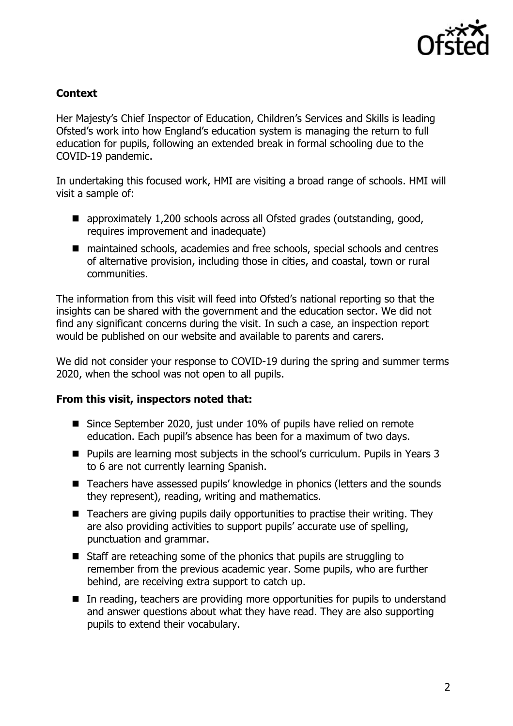

## **Context**

Her Majesty's Chief Inspector of Education, Children's Services and Skills is leading Ofsted's work into how England's education system is managing the return to full education for pupils, following an extended break in formal schooling due to the COVID-19 pandemic.

In undertaking this focused work, HMI are visiting a broad range of schools. HMI will visit a sample of:

- approximately 1,200 schools across all Ofsted grades (outstanding, good, requires improvement and inadequate)
- maintained schools, academies and free schools, special schools and centres of alternative provision, including those in cities, and coastal, town or rural communities.

The information from this visit will feed into Ofsted's national reporting so that the insights can be shared with the government and the education sector. We did not find any significant concerns during the visit. In such a case, an inspection report would be published on our website and available to parents and carers.

We did not consider your response to COVID-19 during the spring and summer terms 2020, when the school was not open to all pupils.

## **From this visit, inspectors noted that:**

- Since September 2020, just under 10% of pupils have relied on remote education. Each pupil's absence has been for a maximum of two days.
- Pupils are learning most subjects in the school's curriculum. Pupils in Years 3 to 6 are not currently learning Spanish.
- Teachers have assessed pupils' knowledge in phonics (letters and the sounds they represent), reading, writing and mathematics.
- Teachers are giving pupils daily opportunities to practise their writing. They are also providing activities to support pupils' accurate use of spelling, punctuation and grammar.
- Staff are reteaching some of the phonics that pupils are struggling to remember from the previous academic year. Some pupils, who are further behind, are receiving extra support to catch up.
- In reading, teachers are providing more opportunities for pupils to understand and answer questions about what they have read. They are also supporting pupils to extend their vocabulary.